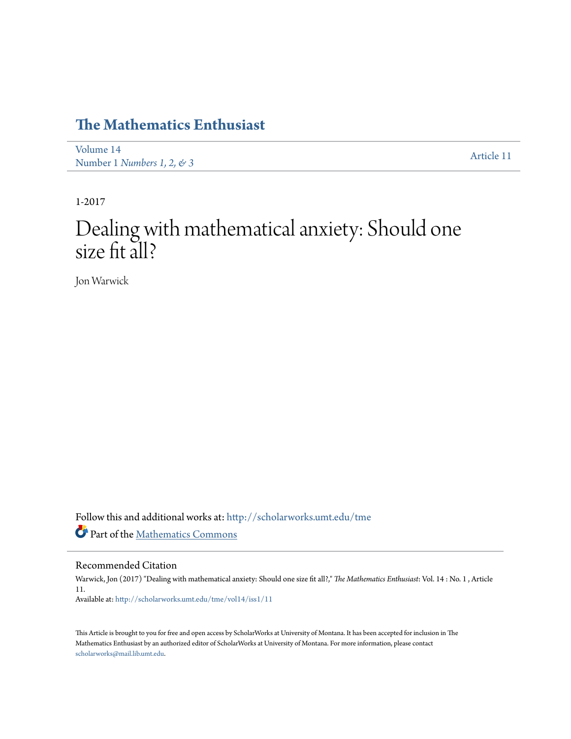## **[The Mathematics Enthusiast](http://scholarworks.umt.edu/tme?utm_source=scholarworks.umt.edu%2Ftme%2Fvol14%2Fiss1%2F11&utm_medium=PDF&utm_campaign=PDFCoverPages)**

[Volume 14](http://scholarworks.umt.edu/tme/vol14?utm_source=scholarworks.umt.edu%2Ftme%2Fvol14%2Fiss1%2F11&utm_medium=PDF&utm_campaign=PDFCoverPages) volume 1<del>.</del><br>Number 1 *[Numbers 1, 2, & 3](http://scholarworks.umt.edu/tme/vol14/iss1?utm_source=scholarworks.umt.edu%2Ftme%2Fvol14%2Fiss1%2F11&utm_medium=PDF&utm_campaign=PDFCoverPages)* [Article 11](http://scholarworks.umt.edu/tme/vol14/iss1/11?utm_source=scholarworks.umt.edu%2Ftme%2Fvol14%2Fiss1%2F11&utm_medium=PDF&utm_campaign=PDFCoverPages)

1-2017

# Dealing with mathematical anxiety: Should one size fit all?

Jon Warwick

Follow this and additional works at: [http://scholarworks.umt.edu/tme](http://scholarworks.umt.edu/tme?utm_source=scholarworks.umt.edu%2Ftme%2Fvol14%2Fiss1%2F11&utm_medium=PDF&utm_campaign=PDFCoverPages) Part of the [Mathematics Commons](http://network.bepress.com/hgg/discipline/174?utm_source=scholarworks.umt.edu%2Ftme%2Fvol14%2Fiss1%2F11&utm_medium=PDF&utm_campaign=PDFCoverPages)

Recommended Citation

Warwick, Jon (2017) "Dealing with mathematical anxiety: Should one size fit all?," *The Mathematics Enthusiast*: Vol. 14 : No. 1 , Article 11. Available at: [http://scholarworks.umt.edu/tme/vol14/iss1/11](http://scholarworks.umt.edu/tme/vol14/iss1/11?utm_source=scholarworks.umt.edu%2Ftme%2Fvol14%2Fiss1%2F11&utm_medium=PDF&utm_campaign=PDFCoverPages)

This Article is brought to you for free and open access by ScholarWorks at University of Montana. It has been accepted for inclusion in The Mathematics Enthusiast by an authorized editor of ScholarWorks at University of Montana. For more information, please contact [scholarworks@mail.lib.umt.edu.](mailto:scholarworks@mail.lib.umt.edu)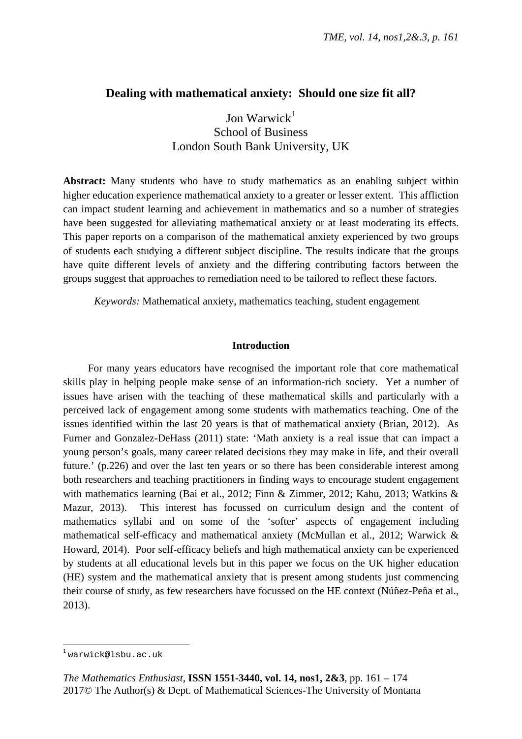### **Dealing with mathematical anxiety: Should one size fit all?**

Jon Warwick $1$ School of Business London South Bank University, UK

**Abstract:** Many students who have to study mathematics as an enabling subject within higher education experience mathematical anxiety to a greater or lesser extent. This affliction can impact student learning and achievement in mathematics and so a number of strategies have been suggested for alleviating mathematical anxiety or at least moderating its effects. This paper reports on a comparison of the mathematical anxiety experienced by two groups of students each studying a different subject discipline. The results indicate that the groups have quite different levels of anxiety and the differing contributing factors between the groups suggest that approaches to remediation need to be tailored to reflect these factors.

*Keywords:* Mathematical anxiety, mathematics teaching, student engagement

#### **Introduction**

For many years educators have recognised the important role that core mathematical skills play in helping people make sense of an information-rich society. Yet a number of issues have arisen with the teaching of these mathematical skills and particularly with a perceived lack of engagement among some students with mathematics teaching. One of the issues identified within the last 20 years is that of mathematical anxiety (Brian, 2012). As Furner and Gonzalez-DeHass (2011) state: 'Math anxiety is a real issue that can impact a young person's goals, many career related decisions they may make in life, and their overall future.' (p.226) and over the last ten years or so there has been considerable interest among both researchers and teaching practitioners in finding ways to encourage student engagement with mathematics learning (Bai et al., 2012; Finn & Zimmer, 2012; Kahu, 2013; Watkins & Mazur, 2013). This interest has focussed on curriculum design and the content of mathematics syllabi and on some of the 'softer' aspects of engagement including mathematical self-efficacy and mathematical anxiety (McMullan et al., 2012; Warwick & Howard, 2014). Poor self-efficacy beliefs and high mathematical anxiety can be experienced by students at all educational levels but in this paper we focus on the UK higher education (HE) system and the mathematical anxiety that is present among students just commencing their course of study, as few researchers have focussed on the HE context (Núñez-Peña et al., 2013).

<span id="page-1-0"></span> $1$ warwick@lsbu.ac.uk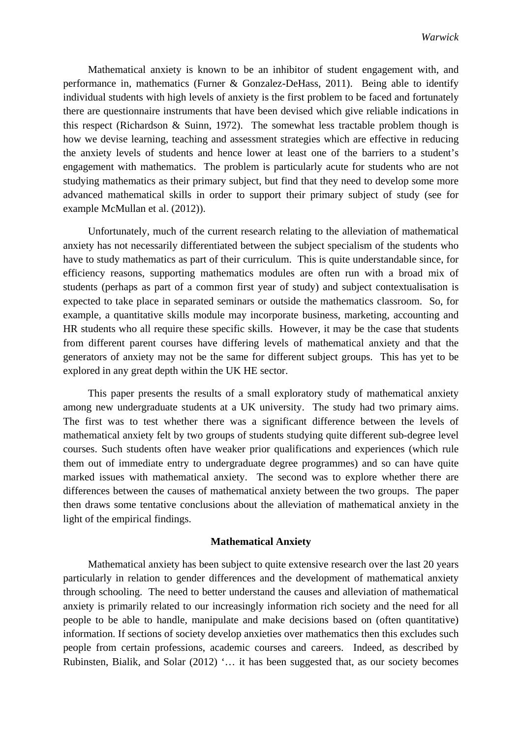Mathematical anxiety is known to be an inhibitor of student engagement with, and performance in, mathematics (Furner & Gonzalez-DeHass, 2011). Being able to identify individual students with high levels of anxiety is the first problem to be faced and fortunately there are questionnaire instruments that have been devised which give reliable indications in this respect (Richardson & Suinn, 1972). The somewhat less tractable problem though is how we devise learning, teaching and assessment strategies which are effective in reducing the anxiety levels of students and hence lower at least one of the barriers to a student's engagement with mathematics. The problem is particularly acute for students who are not studying mathematics as their primary subject, but find that they need to develop some more advanced mathematical skills in order to support their primary subject of study (see for example McMullan et al. (2012)).

Unfortunately, much of the current research relating to the alleviation of mathematical anxiety has not necessarily differentiated between the subject specialism of the students who have to study mathematics as part of their curriculum. This is quite understandable since, for efficiency reasons, supporting mathematics modules are often run with a broad mix of students (perhaps as part of a common first year of study) and subject contextualisation is expected to take place in separated seminars or outside the mathematics classroom. So, for example, a quantitative skills module may incorporate business, marketing, accounting and HR students who all require these specific skills. However, it may be the case that students from different parent courses have differing levels of mathematical anxiety and that the generators of anxiety may not be the same for different subject groups. This has yet to be explored in any great depth within the UK HE sector.

This paper presents the results of a small exploratory study of mathematical anxiety among new undergraduate students at a UK university. The study had two primary aims. The first was to test whether there was a significant difference between the levels of mathematical anxiety felt by two groups of students studying quite different sub-degree level courses. Such students often have weaker prior qualifications and experiences (which rule them out of immediate entry to undergraduate degree programmes) and so can have quite marked issues with mathematical anxiety. The second was to explore whether there are differences between the causes of mathematical anxiety between the two groups. The paper then draws some tentative conclusions about the alleviation of mathematical anxiety in the light of the empirical findings.

#### **Mathematical Anxiety**

Mathematical anxiety has been subject to quite extensive research over the last 20 years particularly in relation to gender differences and the development of mathematical anxiety through schooling. The need to better understand the causes and alleviation of mathematical anxiety is primarily related to our increasingly information rich society and the need for all people to be able to handle, manipulate and make decisions based on (often quantitative) information. If sections of society develop anxieties over mathematics then this excludes such people from certain professions, academic courses and careers. Indeed, as described by Rubinsten, Bialik, and Solar (2012) '… it has been suggested that, as our society becomes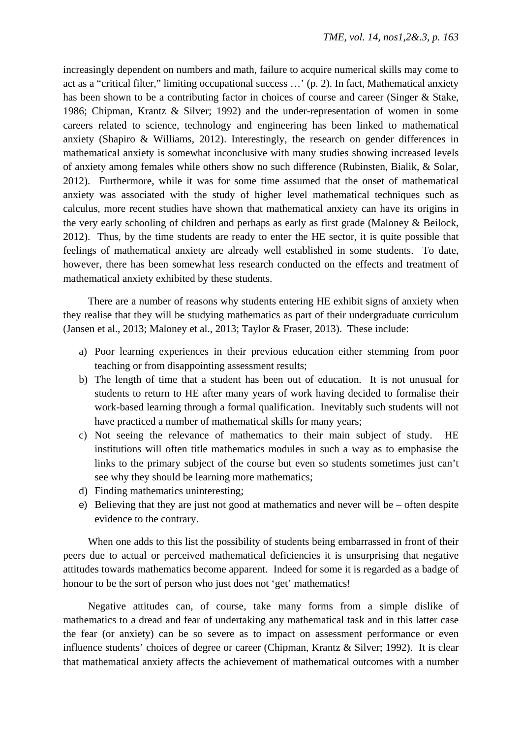increasingly dependent on numbers and math, failure to acquire numerical skills may come to act as a "critical filter," limiting occupational success …' (p. 2). In fact, Mathematical anxiety has been shown to be a contributing factor in choices of course and career (Singer & Stake, 1986; Chipman, Krantz & Silver; 1992) and the under-representation of women in some careers related to science, technology and engineering has been linked to mathematical anxiety (Shapiro & Williams, 2012). Interestingly, the research on gender differences in mathematical anxiety is somewhat inconclusive with many studies showing increased levels of anxiety among females while others show no such difference (Rubinsten, Bialik, & Solar, 2012). Furthermore, while it was for some time assumed that the onset of mathematical anxiety was associated with the study of higher level mathematical techniques such as calculus, more recent studies have shown that mathematical anxiety can have its origins in the very early schooling of children and perhaps as early as first grade (Maloney & Beilock, 2012). Thus, by the time students are ready to enter the HE sector, it is quite possible that feelings of mathematical anxiety are already well established in some students. To date, however, there has been somewhat less research conducted on the effects and treatment of mathematical anxiety exhibited by these students.

There are a number of reasons why students entering HE exhibit signs of anxiety when they realise that they will be studying mathematics as part of their undergraduate curriculum (Jansen et al., 2013; Maloney et al., 2013; Taylor & Fraser, 2013). These include:

- a) Poor learning experiences in their previous education either stemming from poor teaching or from disappointing assessment results;
- b) The length of time that a student has been out of education. It is not unusual for students to return to HE after many years of work having decided to formalise their work-based learning through a formal qualification. Inevitably such students will not have practiced a number of mathematical skills for many years;
- c) Not seeing the relevance of mathematics to their main subject of study. HE institutions will often title mathematics modules in such a way as to emphasise the links to the primary subject of the course but even so students sometimes just can't see why they should be learning more mathematics;
- d) Finding mathematics uninteresting;
- e) Believing that they are just not good at mathematics and never will be often despite evidence to the contrary.

When one adds to this list the possibility of students being embarrassed in front of their peers due to actual or perceived mathematical deficiencies it is unsurprising that negative attitudes towards mathematics become apparent. Indeed for some it is regarded as a badge of honour to be the sort of person who just does not 'get' mathematics!

Negative attitudes can, of course, take many forms from a simple dislike of mathematics to a dread and fear of undertaking any mathematical task and in this latter case the fear (or anxiety) can be so severe as to impact on assessment performance or even influence students' choices of degree or career (Chipman, Krantz & Silver; 1992). It is clear that mathematical anxiety affects the achievement of mathematical outcomes with a number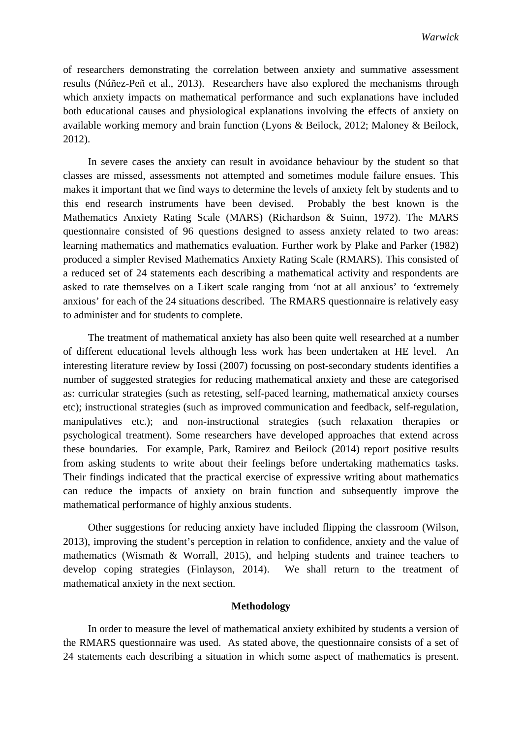of researchers demonstrating the correlation between anxiety and summative assessment results (Núñez-Peñ et al., 2013). Researchers have also explored the mechanisms through which anxiety impacts on mathematical performance and such explanations have included both educational causes and physiological explanations involving the effects of anxiety on available working memory and brain function (Lyons & Beilock, 2012; Maloney & Beilock, 2012).

In severe cases the anxiety can result in avoidance behaviour by the student so that classes are missed, assessments not attempted and sometimes module failure ensues. This makes it important that we find ways to determine the levels of anxiety felt by students and to this end research instruments have been devised. Probably the best known is the Mathematics Anxiety Rating Scale (MARS) (Richardson & Suinn, 1972). The MARS questionnaire consisted of 96 questions designed to assess anxiety related to two areas: learning mathematics and mathematics evaluation. Further work by Plake and Parker (1982) produced a simpler Revised Mathematics Anxiety Rating Scale (RMARS). This consisted of a reduced set of 24 statements each describing a mathematical activity and respondents are asked to rate themselves on a Likert scale ranging from 'not at all anxious' to 'extremely anxious' for each of the 24 situations described. The RMARS questionnaire is relatively easy to administer and for students to complete.

The treatment of mathematical anxiety has also been quite well researched at a number of different educational levels although less work has been undertaken at HE level. An interesting literature review by Iossi (2007) focussing on post-secondary students identifies a number of suggested strategies for reducing mathematical anxiety and these are categorised as: curricular strategies (such as retesting, self-paced learning, mathematical anxiety courses etc); instructional strategies (such as improved communication and feedback, self-regulation, manipulatives etc.); and non-instructional strategies (such relaxation therapies or psychological treatment). Some researchers have developed approaches that extend across these boundaries. For example, Park, Ramirez and Beilock (2014) report positive results from asking students to write about their feelings before undertaking mathematics tasks. Their findings indicated that the practical exercise of expressive writing about mathematics can reduce the impacts of anxiety on brain function and subsequently improve the mathematical performance of highly anxious students.

Other suggestions for reducing anxiety have included flipping the classroom (Wilson, 2013), improving the student's perception in relation to confidence, anxiety and the value of mathematics (Wismath & Worrall, 2015), and helping students and trainee teachers to develop coping strategies (Finlayson, 2014). We shall return to the treatment of mathematical anxiety in the next section.

#### **Methodology**

In order to measure the level of mathematical anxiety exhibited by students a version of the RMARS questionnaire was used. As stated above, the questionnaire consists of a set of 24 statements each describing a situation in which some aspect of mathematics is present.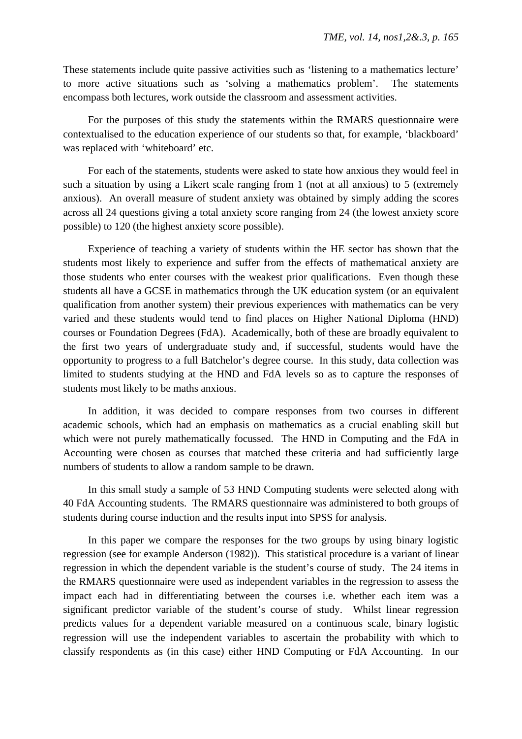These statements include quite passive activities such as 'listening to a mathematics lecture' to more active situations such as 'solving a mathematics problem'. The statements encompass both lectures, work outside the classroom and assessment activities.

For the purposes of this study the statements within the RMARS questionnaire were contextualised to the education experience of our students so that, for example, 'blackboard' was replaced with 'whiteboard' etc.

For each of the statements, students were asked to state how anxious they would feel in such a situation by using a Likert scale ranging from 1 (not at all anxious) to 5 (extremely anxious). An overall measure of student anxiety was obtained by simply adding the scores across all 24 questions giving a total anxiety score ranging from 24 (the lowest anxiety score possible) to 120 (the highest anxiety score possible).

Experience of teaching a variety of students within the HE sector has shown that the students most likely to experience and suffer from the effects of mathematical anxiety are those students who enter courses with the weakest prior qualifications. Even though these students all have a GCSE in mathematics through the UK education system (or an equivalent qualification from another system) their previous experiences with mathematics can be very varied and these students would tend to find places on Higher National Diploma (HND) courses or Foundation Degrees (FdA). Academically, both of these are broadly equivalent to the first two years of undergraduate study and, if successful, students would have the opportunity to progress to a full Batchelor's degree course. In this study, data collection was limited to students studying at the HND and FdA levels so as to capture the responses of students most likely to be maths anxious.

In addition, it was decided to compare responses from two courses in different academic schools, which had an emphasis on mathematics as a crucial enabling skill but which were not purely mathematically focussed. The HND in Computing and the FdA in Accounting were chosen as courses that matched these criteria and had sufficiently large numbers of students to allow a random sample to be drawn.

In this small study a sample of 53 HND Computing students were selected along with 40 FdA Accounting students. The RMARS questionnaire was administered to both groups of students during course induction and the results input into SPSS for analysis.

In this paper we compare the responses for the two groups by using binary logistic regression (see for example Anderson (1982)). This statistical procedure is a variant of linear regression in which the dependent variable is the student's course of study. The 24 items in the RMARS questionnaire were used as independent variables in the regression to assess the impact each had in differentiating between the courses i.e. whether each item was a significant predictor variable of the student's course of study. Whilst linear regression predicts values for a dependent variable measured on a continuous scale, binary logistic regression will use the independent variables to ascertain the probability with which to classify respondents as (in this case) either HND Computing or FdA Accounting. In our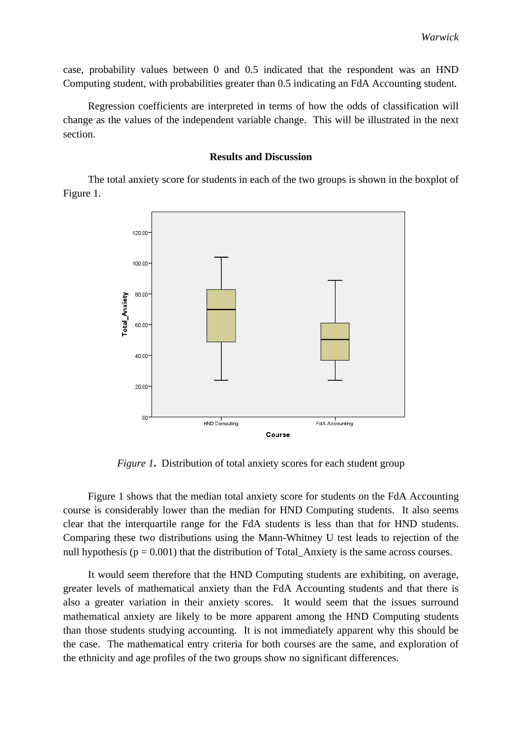case, probability values between 0 and 0.5 indicated that the respondent was an HND Computing student, with probabilities greater than 0.5 indicating an FdA Accounting student.

Regression coefficients are interpreted in terms of how the odds of classification will change as the values of the independent variable change. This will be illustrated in the next section.

#### **Results and Discussion**

The total anxiety score for students in each of the two groups is shown in the boxplot of Figure 1.



*Figure 1*. Distribution of total anxiety scores for each student group

Figure 1 shows that the median total anxiety score for students on the FdA Accounting course is considerably lower than the median for HND Computing students. It also seems clear that the interquartile range for the FdA students is less than that for HND students. Comparing these two distributions using the Mann-Whitney U test leads to rejection of the null hypothesis ( $p = 0.001$ ) that the distribution of Total Anxiety is the same across courses.

It would seem therefore that the HND Computing students are exhibiting, on average, greater levels of mathematical anxiety than the FdA Accounting students and that there is also a greater variation in their anxiety scores. It would seem that the issues surround mathematical anxiety are likely to be more apparent among the HND Computing students than those students studying accounting. It is not immediately apparent why this should be the case. The mathematical entry criteria for both courses are the same, and exploration of the ethnicity and age profiles of the two groups show no significant differences.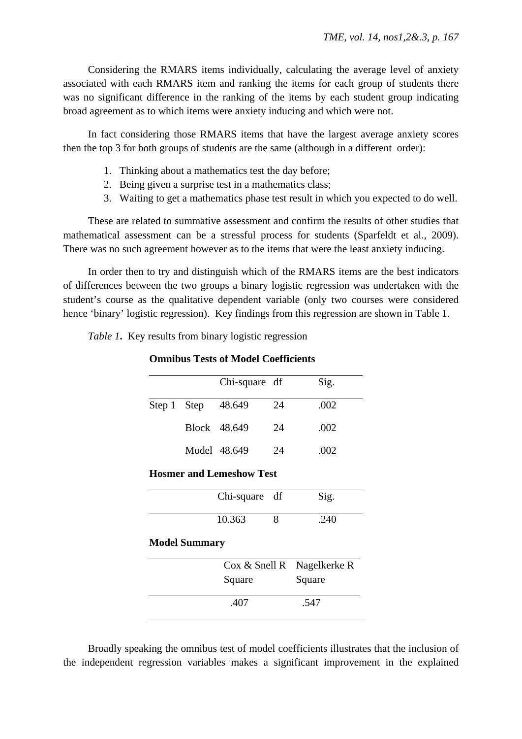Considering the RMARS items individually, calculating the average level of anxiety associated with each RMARS item and ranking the items for each group of students there was no significant difference in the ranking of the items by each student group indicating broad agreement as to which items were anxiety inducing and which were not.

In fact considering those RMARS items that have the largest average anxiety scores then the top 3 for both groups of students are the same (although in a different order):

- 1. Thinking about a mathematics test the day before;
- 2. Being given a surprise test in a mathematics class;
- 3. Waiting to get a mathematics phase test result in which you expected to do well.

These are related to summative assessment and confirm the results of other studies that mathematical assessment can be a stressful process for students (Sparfeldt et al., 2009). There was no such agreement however as to the items that were the least anxiety inducing.

In order then to try and distinguish which of the RMARS items are the best indicators of differences between the two groups a binary logistic regression was undertaken with the student's course as the qualitative dependent variable (only two courses were considered hence 'binary' logistic regression). Key findings from this regression are shown in Table 1.

*Table 1***.** Key results from binary logistic regression

#### **Omnibus Tests of Model Coefficients**

|                                 |  | Chi-square df |    | Sig. |  |
|---------------------------------|--|---------------|----|------|--|
| Step 1 Step                     |  | 48.649        | 24 | .002 |  |
|                                 |  | Block 48.649  | 24 | .002 |  |
|                                 |  | Model 48.649  | 24 | .002 |  |
| <b>Hosmer and Lemeshow Test</b> |  |               |    |      |  |
|                                 |  | Chi-square df |    | Sig. |  |
|                                 |  | 10.363        | 8  |      |  |

#### **Model Summary**

| Cox & Snell R Nagelkerke R<br>Square | Square |
|--------------------------------------|--------|
| .407                                 | .547   |

Broadly speaking the omnibus test of model coefficients illustrates that the inclusion of the independent regression variables makes a significant improvement in the explained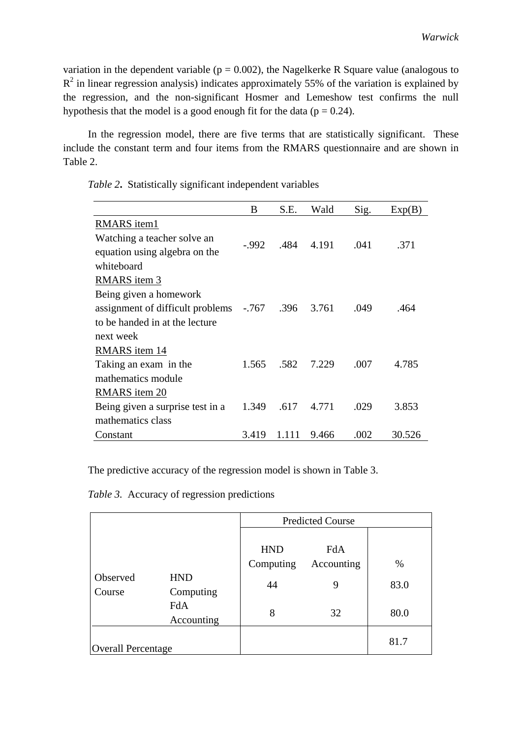variation in the dependent variable ( $p = 0.002$ ), the Nagelkerke R Square value (analogous to  $R<sup>2</sup>$  in linear regression analysis) indicates approximately 55% of the variation is explained by the regression, and the non-significant Hosmer and Lemeshow test confirms the null hypothesis that the model is a good enough fit for the data ( $p = 0.24$ ).

In the regression model, there are five terms that are statistically significant. These include the constant term and four items from the RMARS questionnaire and are shown in Table 2.

*Table 2***.** Statistically significant independent variables

|                                  | B        | S.E.  | Wald  | Sig. | Exp(B) |
|----------------------------------|----------|-------|-------|------|--------|
| RMARS item1                      |          |       |       |      |        |
| Watching a teacher solve an      |          | .484  | 4.191 |      |        |
| equation using algebra on the    | $-0.992$ |       |       | .041 | .371   |
| whiteboard                       |          |       |       |      |        |
| <b>RMARS</b> item 3              |          |       |       |      |        |
| Being given a homework           |          |       |       |      |        |
| assignment of difficult problems | -.767    | .396  | 3.761 | .049 | .464   |
| to be handed in at the lecture   |          |       |       |      |        |
| next week                        |          |       |       |      |        |
| RMARS item 14                    |          |       |       |      |        |
| Taking an exam in the            | 1.565    | .582  | 7.229 | .007 | 4.785  |
| mathematics module               |          |       |       |      |        |
| <b>RMARS</b> item 20             |          |       |       |      |        |
| Being given a surprise test in a | 1.349    | .617  | 4.771 | .029 | 3.853  |
| mathematics class                |          |       |       |      |        |
| Constant                         | 3.419    | 1.111 | 9.466 | .002 | 30.526 |

The predictive accuracy of the regression model is shown in Table 3.

*Table 3.*Accuracy of regression predictions

|                           |                   | <b>Predicted Course</b> |                   |      |  |
|---------------------------|-------------------|-------------------------|-------------------|------|--|
|                           |                   | <b>HND</b><br>Computing | FdA<br>Accounting | %    |  |
| Observed                  | <b>HND</b>        |                         |                   |      |  |
| Course                    | Computing         | 44                      | 9                 | 83.0 |  |
|                           | FdA<br>Accounting | 8                       | 32                | 80.0 |  |
| <b>Overall Percentage</b> |                   |                         |                   | 81.7 |  |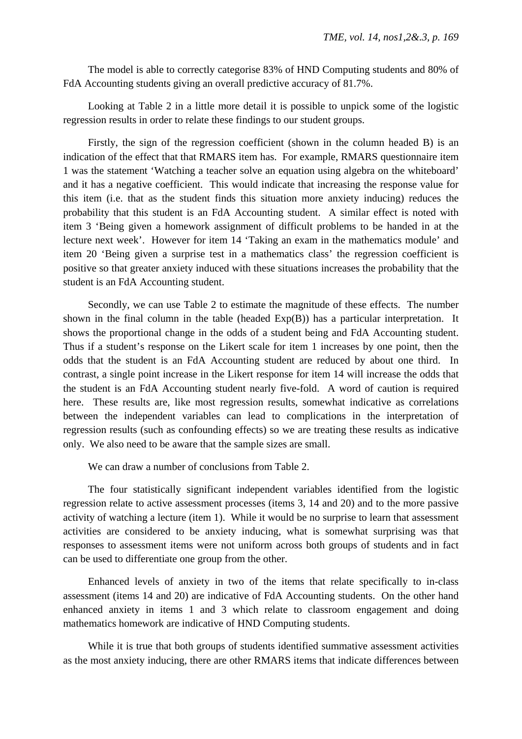The model is able to correctly categorise 83% of HND Computing students and 80% of FdA Accounting students giving an overall predictive accuracy of 81.7%.

Looking at Table 2 in a little more detail it is possible to unpick some of the logistic regression results in order to relate these findings to our student groups.

Firstly, the sign of the regression coefficient (shown in the column headed B) is an indication of the effect that that RMARS item has. For example, RMARS questionnaire item 1 was the statement 'Watching a teacher solve an equation using algebra on the whiteboard' and it has a negative coefficient. This would indicate that increasing the response value for this item (i.e. that as the student finds this situation more anxiety inducing) reduces the probability that this student is an FdA Accounting student. A similar effect is noted with item 3 'Being given a homework assignment of difficult problems to be handed in at the lecture next week'. However for item 14 'Taking an exam in the mathematics module' and item 20 'Being given a surprise test in a mathematics class' the regression coefficient is positive so that greater anxiety induced with these situations increases the probability that the student is an FdA Accounting student.

Secondly, we can use Table 2 to estimate the magnitude of these effects. The number shown in the final column in the table (headed Exp(B)) has a particular interpretation. It shows the proportional change in the odds of a student being and FdA Accounting student. Thus if a student's response on the Likert scale for item 1 increases by one point, then the odds that the student is an FdA Accounting student are reduced by about one third. In contrast, a single point increase in the Likert response for item 14 will increase the odds that the student is an FdA Accounting student nearly five-fold. A word of caution is required here. These results are, like most regression results, somewhat indicative as correlations between the independent variables can lead to complications in the interpretation of regression results (such as confounding effects) so we are treating these results as indicative only. We also need to be aware that the sample sizes are small.

We can draw a number of conclusions from Table 2.

The four statistically significant independent variables identified from the logistic regression relate to active assessment processes (items 3, 14 and 20) and to the more passive activity of watching a lecture (item 1). While it would be no surprise to learn that assessment activities are considered to be anxiety inducing, what is somewhat surprising was that responses to assessment items were not uniform across both groups of students and in fact can be used to differentiate one group from the other.

Enhanced levels of anxiety in two of the items that relate specifically to in-class assessment (items 14 and 20) are indicative of FdA Accounting students. On the other hand enhanced anxiety in items 1 and 3 which relate to classroom engagement and doing mathematics homework are indicative of HND Computing students.

While it is true that both groups of students identified summative assessment activities as the most anxiety inducing, there are other RMARS items that indicate differences between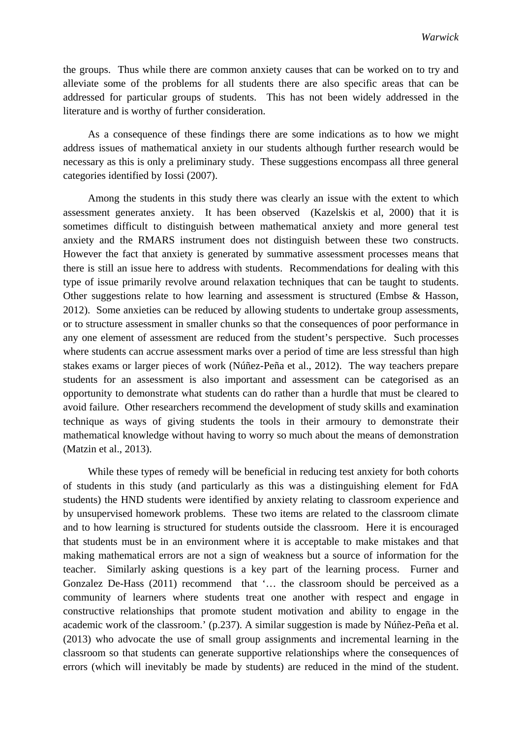the groups. Thus while there are common anxiety causes that can be worked on to try and alleviate some of the problems for all students there are also specific areas that can be addressed for particular groups of students. This has not been widely addressed in the literature and is worthy of further consideration.

As a consequence of these findings there are some indications as to how we might address issues of mathematical anxiety in our students although further research would be necessary as this is only a preliminary study. These suggestions encompass all three general categories identified by Iossi (2007).

Among the students in this study there was clearly an issue with the extent to which assessment generates anxiety. It has been observed (Kazelskis et al, 2000) that it is sometimes difficult to distinguish between mathematical anxiety and more general test anxiety and the RMARS instrument does not distinguish between these two constructs. However the fact that anxiety is generated by summative assessment processes means that there is still an issue here to address with students. Recommendations for dealing with this type of issue primarily revolve around relaxation techniques that can be taught to students. Other suggestions relate to how learning and assessment is structured (Embse & Hasson, 2012). Some anxieties can be reduced by allowing students to undertake group assessments, or to structure assessment in smaller chunks so that the consequences of poor performance in any one element of assessment are reduced from the student's perspective. Such processes where students can accrue assessment marks over a period of time are less stressful than high stakes exams or larger pieces of work (Núñez-Peña et al., 2012). The way teachers prepare students for an assessment is also important and assessment can be categorised as an opportunity to demonstrate what students can do rather than a hurdle that must be cleared to avoid failure. Other researchers recommend the development of study skills and examination technique as ways of giving students the tools in their armoury to demonstrate their mathematical knowledge without having to worry so much about the means of demonstration (Matzin et al., 2013).

While these types of remedy will be beneficial in reducing test anxiety for both cohorts of students in this study (and particularly as this was a distinguishing element for FdA students) the HND students were identified by anxiety relating to classroom experience and by unsupervised homework problems. These two items are related to the classroom climate and to how learning is structured for students outside the classroom. Here it is encouraged that students must be in an environment where it is acceptable to make mistakes and that making mathematical errors are not a sign of weakness but a source of information for the teacher. Similarly asking questions is a key part of the learning process. Furner and Gonzalez De-Hass (2011) recommend that '… the classroom should be perceived as a community of learners where students treat one another with respect and engage in constructive relationships that promote student motivation and ability to engage in the academic work of the classroom.' (p.237). A similar suggestion is made by Núñez-Peña et al. (2013) who advocate the use of small group assignments and incremental learning in the classroom so that students can generate supportive relationships where the consequences of errors (which will inevitably be made by students) are reduced in the mind of the student.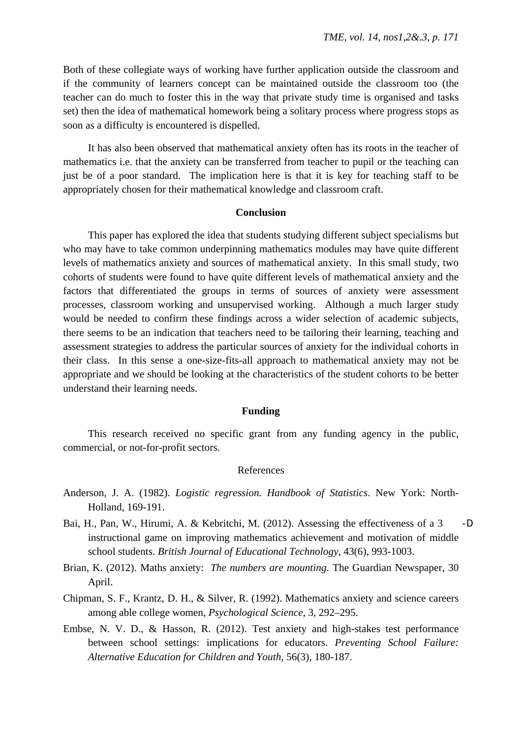Both of these collegiate ways of working have further application outside the classroom and if the community of learners concept can be maintained outside the classroom too (the teacher can do much to foster this in the way that private study time is organised and tasks set) then the idea of mathematical homework being a solitary process where progress stops as soon as a difficulty is encountered is dispelled.

It has also been observed that mathematical anxiety often has its roots in the teacher of mathematics i.e. that the anxiety can be transferred from teacher to pupil or the teaching can just be of a poor standard. The implication here is that it is key for teaching staff to be appropriately chosen for their mathematical knowledge and classroom craft.

#### **Conclusion**

This paper has explored the idea that students studying different subject specialisms but who may have to take common underpinning mathematics modules may have quite different levels of mathematics anxiety and sources of mathematical anxiety. In this small study, two cohorts of students were found to have quite different levels of mathematical anxiety and the factors that differentiated the groups in terms of sources of anxiety were assessment processes, classroom working and unsupervised working. Although a much larger study would be needed to confirm these findings across a wider selection of academic subjects, there seems to be an indication that teachers need to be tailoring their learning, teaching and assessment strategies to address the particular sources of anxiety for the individual cohorts in their class. In this sense a one-size-fits-all approach to mathematical anxiety may not be appropriate and we should be looking at the characteristics of the student cohorts to be better understand their learning needs.

#### **Funding**

This research received no specific grant from any funding agency in the public, commercial, or not-for-profit sectors.

#### References

- Anderson, J. A. (1982). *Logistic regression. Handbook of Statistics*. New York: North-Holland, 169-191.
- Bai, H., Pan, W., Hirumi, A. & Kebritchi, M. (2012). Assessing the effectiveness of a 3 -D instructional game on improving mathematics achievement and motivation of middle school students. *British Journal of Educational Technology*, 43(6), 993-1003.
- Brian, K. (2012). Maths anxiety: *The numbers are mounting*. The Guardian Newspaper, 30 April.
- Chipman, S. F., Krantz, D. H., & Silver, R. (1992). Mathematics anxiety and science careers among able college women, *Psychological Science*, 3, 292–295.
- Embse, N. V. D., & Hasson, R. (2012). Test anxiety and high-stakes test performance between school settings: implications for educators. *Preventing School Failure: Alternative Education for Children and Youth*, 56(3), 180-187.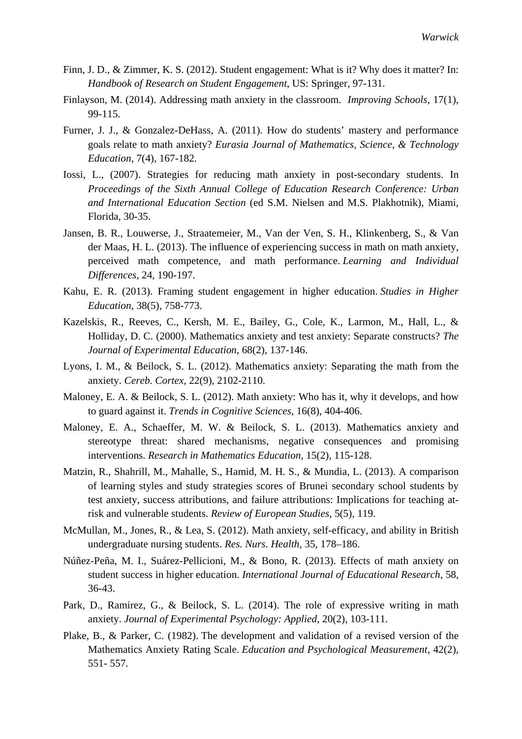- Finn, J. D., & Zimmer, K. S. (2012). Student engagement: What is it? Why does it matter? In: *Handbook of Research on Student Engagement*, US: Springer, 97-131.
- Finlayson, M. (2014). Addressing math anxiety in the classroom. *Improving Schools*, 17(1), 99-115.
- Furner, J. J., & Gonzalez-DeHass, A. (2011). How do students' mastery and performance goals relate to math anxiety? *Eurasia Journal of Mathematics, Science, & Technology Education*, 7(4), 167-182.
- Iossi, L., (2007). Strategies for reducing math anxiety in post-secondary students. In *Proceedings of the Sixth Annual College of Education Research Conference: Urban and International Education Section* (ed S.M. Nielsen and M.S. Plakhotnik), Miami, Florida, 30-35.
- Jansen, B. R., Louwerse, J., Straatemeier, M., Van der Ven, S. H., Klinkenberg, S., & Van der Maas, H. L. (2013). The influence of experiencing success in math on math anxiety, perceived math competence, and math performance. *Learning and Individual Differences*, 24, 190-197.
- Kahu, E. R. (2013). Framing student engagement in higher education. *Studies in Higher Education*, 38(5), 758-773.
- Kazelskis, R., Reeves, C., Kersh, M. E., Bailey, G., Cole, K., Larmon, M., Hall, L., & Holliday, D. C. (2000). Mathematics anxiety and test anxiety: Separate constructs? *The Journal of Experimental Education*, 68(2), 137-146.
- Lyons, I. M., & Beilock, S. L. (2012). Mathematics anxiety: Separating the math from the anxiety. *Cereb. Cortex*, 22(9), 2102-2110.
- Maloney, E. A. & Beilock, S. L. (2012). Math anxiety: Who has it, why it develops, and how to guard against it. *Trends in Cognitive Sciences*, 16(8), 404-406.
- Maloney, E. A., Schaeffer, M. W. & Beilock, S. L. (2013). Mathematics anxiety and stereotype threat: shared mechanisms, negative consequences and promising interventions. *Research in Mathematics Education*, 15(2), 115-128.
- Matzin, R., Shahrill, M., Mahalle, S., Hamid, M. H. S., & Mundia, L. (2013). A comparison of learning styles and study strategies scores of Brunei secondary school students by test anxiety, success attributions, and failure attributions: Implications for teaching atrisk and vulnerable students. *Review of European Studies*, 5(5), 119.
- McMullan, M., Jones, R., & Lea, S. (2012). Math anxiety, self-efficacy, and ability in British undergraduate nursing students. *Res. Nurs. Health*, 35, 178–186.
- Núñez-Peña, M. I., Suárez-Pellicioni, M., & Bono, R. (2013). Effects of math anxiety on student success in higher education. *International Journal of Educational Research*, 58, 36-43.
- Park, D., Ramirez, G., & Beilock, S. L. (2014). The role of expressive writing in math anxiety. *Journal of Experimental Psychology: Applied*, 20(2), 103-111.
- Plake, B., & Parker, C. (1982). The development and validation of a revised version of the Mathematics Anxiety Rating Scale. *Education and Psychological Measurement*, 42(2), 551- 557.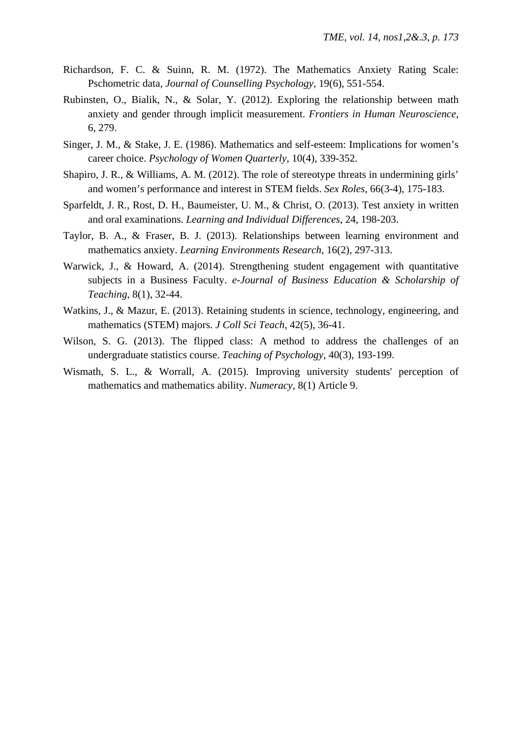- Richardson, F. C. & Suinn, R. M. (1972). The Mathematics Anxiety Rating Scale: Pschometric data, *Journal of Counselling Psychology*, 19(6), 551-554.
- Rubinsten, O., Bialik, N., & Solar, Y. (2012). Exploring the relationship between math anxiety and gender through implicit measurement. *Frontiers in Human Neuroscience*, 6, 279.
- Singer, J. M., & Stake, J. E. (1986). Mathematics and self-esteem: Implications for women's career choice. *Psychology of Women Quarterly*, 10(4), 339-352.
- Shapiro, J. R., & Williams, A. M. (2012). The role of stereotype threats in undermining girls' and women's performance and interest in STEM fields. *Sex Roles*, 66(3-4), 175-183.
- Sparfeldt, J. R., Rost, D. H., Baumeister, U. M., & Christ, O. (2013). Test anxiety in written and oral examinations. *Learning and Individual Differences*, 24, 198-203.
- Taylor, B. A., & Fraser, B. J. (2013). Relationships between learning environment and mathematics anxiety. *Learning Environments Research*, 16(2), 297-313.
- Warwick, J., & Howard, A. (2014). Strengthening student engagement with quantitative subjects in a Business Faculty. *e-Journal of Business Education & Scholarship of Teaching*, 8(1), 32-44.
- Watkins, J., & Mazur, E. (2013). Retaining students in science, technology, engineering, and mathematics (STEM) majors. *J Coll Sci Teach*, 42(5), 36-41.
- Wilson, S. G. (2013). The flipped class: A method to address the challenges of an undergraduate statistics course. *Teaching of Psychology*, 40(3), 193-199.
- Wismath, S. L., & Worrall, A. (2015). Improving university students' perception of mathematics and mathematics ability. *Numeracy*, 8(1) Article 9.